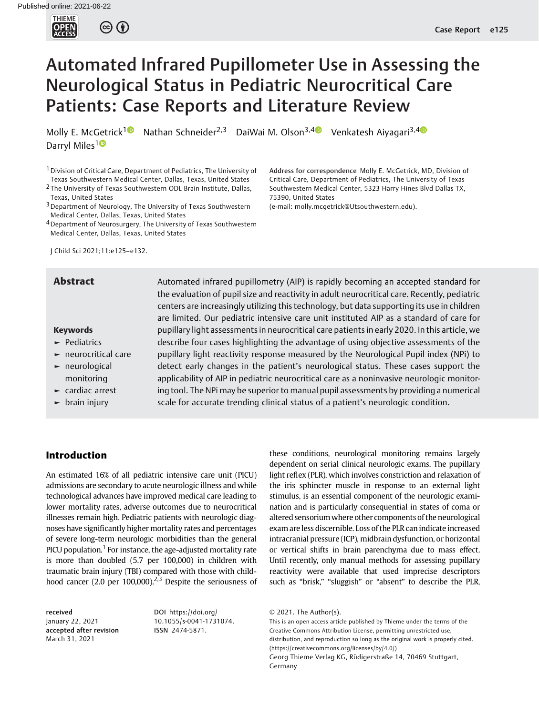

# Automated Infrared Pupillometer Use in Assessing the Neurological Status in Pediatric Neurocritical Care Patients: Case Reports and Literature Review

Molly E. McGetrick<sup>1</sup> Nathan Schneider<sup>2,3</sup> DaiWai M. Olson<sup>3,[4](https://orcid.org/0000-0002-9280-078X)</sup> Venkatesh Aiyagari<sup>3,4</sup> Darryl Miles<sup>10</sup>

<sup>1</sup> Division of Critical Care, Department of Pediatrics, The University of Texas Southwestern Medical Center, Dallas, Texas, United States 2 The University of Texas Southwestern ODL Brain Institute, Dallas,

Texas, United States

3Department of Neurology, The University of Texas Southwestern Medical Center, Dallas, Texas, United States

4Department of Neurosurgery, The University of Texas Southwestern Medical Center, Dallas, Texas, United States

J Child Sci 2021;11:e125–e132.

## Keywords

- ► Pediatrics
- ► neurocritical care
- ► neurological monitoring
- ► cardiac arrest
- $\blacktriangleright$  brain injury

**Abstract** Automated infrared pupillometry (AIP) is rapidly becoming an accepted standard for the evaluation of pupil size and reactivity in adult neurocritical care. Recently, pediatric centers are increasingly utilizing this technology, but data supporting its use in children are limited. Our pediatric intensive care unit instituted AIP as a standard of care for pupillary light assessments in neurocritical care patients in early 2020. In this article, we describe four cases highlighting the advantage of using objective assessments of the pupillary light reactivity response measured by the Neurological Pupil index (NPi) to detect early changes in the patient's neurological status. These cases support the applicability of AIP in pediatric neurocritical care as a noninvasive neurologic monitoring tool. The NPi may be superior to manual pupil assessments by providing a numerical scale for accurate trending clinical status of a patient's neurologic condition.

75390, United States

# Introduction

An estimated 16% of all pediatric intensive care unit (PICU) admissions are secondary to acute neurologic illness and while technological advances have improved medical care leading to lower mortality rates, adverse outcomes due to neurocritical illnesses remain high. Pediatric patients with neurologic diagnoses have significantly higher mortality rates and percentages of severe long-term neurologic morbidities than the general PICU population.<sup>1</sup> For instance, the age-adjusted mortality rate is more than doubled (5.7 per 100,000) in children with traumatic brain injury (TBI) compared with those with childhood cancer (2.0 per 100,000).<sup>2,3</sup> Despite the seriousness of

received January 22, 2021 accepted after revision March 31, 2021

DOI [https://doi.org/](https://doi.org/10.1055/s-0041-1731074) [10.1055/s-0041-1731074](https://doi.org/10.1055/s-0041-1731074). ISSN 2474-5871.

these conditions, neurological monitoring remains largely dependent on serial clinical neurologic exams. The pupillary light reflex (PLR), which involves constriction and relaxation of the iris sphincter muscle in response to an external light stimulus, is an essential component of the neurologic examination and is particularly consequential in states of coma or altered sensoriumwhere other components of the neurological exam areless discernible. Loss of the PLR can indicate increased intracranial pressure (ICP), midbrain dysfunction, or horizontal or vertical shifts in brain parenchyma due to mass effect. Until recently, only manual methods for assessing pupillary reactivity were available that used imprecise descriptors such as "brisk," "sluggish" or "absent" to describe the PLR,

Address for correspondence Molly E. McGetrick, MD, Division of Critical Care, Department of Pediatrics, The University of Texas Southwestern Medical Center, 5323 Harry Hines Blvd Dallas TX,

(e-mail: [molly.mcgetrick@Utsouthwestern.edu](mailto:molly.mcgetrick@Utsouthwestern.edu)).

This is an open access article published by Thieme under the terms of the Creative Commons Attribution License, permitting unrestricted use, distribution, and reproduction so long as the original work is properly cited. (https://creativecommons.org/licenses/by/4.0/) Georg Thieme Verlag KG, Rüdigerstraße 14, 70469 Stuttgart, Germany

<sup>© 2021.</sup> The Author(s).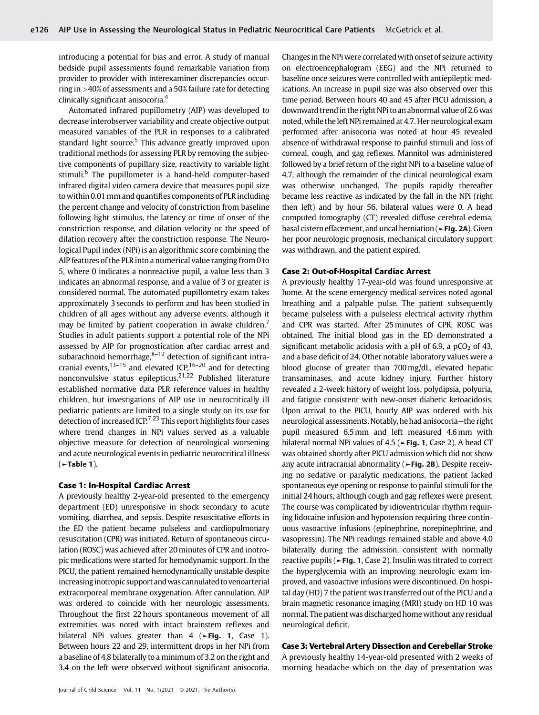introducing a potential for bias and error. A study of manual bedside pupil assessments found remarkable variation from provider to provider with interexaminer discrepancies occurring in >40% of assessments and a 50% failure rate for detecting clinically significant anisocoria.<sup>4</sup>

Automated infrared pupillometry (AIP) was developed to decrease interobserver variability and create objective output measured variables of the PLR in responses to a calibrated standard light source.<sup>5</sup> This advance greatly improved upon traditional methods for assessing PLR by removing the subjective components of pupillary size, reactivity to variable light stimuli.<sup>6</sup> The pupillometer is a hand-held computer-based infrared digital video camera device that measures pupil size towithin 0.01 mm and quantifies components of PLR including the percent change and velocity of constriction from baseline following light stimulus, the latency or time of onset of the constriction response, and dilation velocity or the speed of dilation recovery after the constriction response. The Neurological Pupil index (NPi) is an algorithmic score combining the AIP features of the PLR into a numerical value ranging from 0 to 5, where 0 indicates a nonreactive pupil, a value less than 3 indicates an abnormal response, and a value of 3 or greater is considered normal. The automated pupillometry exam takes approximately 3 seconds to perform and has been studied in children of all ages without any adverse events, although it may be limited by patient cooperation in awake children.<sup>7</sup> Studies in adult patients support a potential role of the NPi assessed by AIP for prognostication after cardiac arrest and subarachnoid hemorrhage, $8-12$  detection of significant intracranial events,<sup>13–15</sup> and elevated ICP,<sup>16–20</sup> and for detecting nonconvulsive status epilepticus.21,22 Published literature established normative data PLR reference values in healthy children, but investigations of AIP use in neurocritically ill pediatric patients are limited to a single study on its use for detection of increased ICP.<sup>7,23</sup> This report highlights four cases where trend changes in NPi values served as a valuable objective measure for detection of neurological worsening and acute neurological events in pediatric neurocritical illness  $($   $\blacktriangleright$  Table 1).

#### Case 1: In-Hospital Cardiac Arrest

A previously healthy 2-year-old presented to the emergency department (ED) unresponsive in shock secondary to acute vomiting, diarrhea, and sepsis. Despite resuscitative efforts in the ED the patient became pulseless and cardiopulmonary resuscitation (CPR) was initiated. Return of spontaneous circulation (ROSC) was achieved after 20minutes of CPR and inotropic medications were started for hemodynamic support. In the PICU, the patient remained hemodynamically unstable despite increasing inotropic support and was cannulated to venoarterial extracorporeal membrane oxygenation. After cannulation, AIP was ordered to coincide with her neurologic assessments. Throughout the first 22 hours spontaneous movement of all extremities was noted with intact brainstem reflexes and bilateral NPi values greater than 4 ( $\blacktriangleright$ Fig. 1, Case 1). Between hours 22 and 29, intermittent drops in her NPi from a baseline of 4.8 bilaterally to a minimum of 3.2 on the right and 3.4 on the left were observed without significant anisocoria.

Changes in the NPi were correlated with onset of seizure activity on electroencephalogram (EEG) and the NPi returned to baseline once seizures were controlled with antiepileptic medications. An increase in pupil size was also observed over this time period. Between hours 40 and 45 after PICU admission, a downward trendin the right NPi to an abnormal value of 2.6was noted, while the left NPi remained at 4.7. Her neurological exam performed after anisocoria was noted at hour 45 revealed absence of withdrawal response to painful stimuli and loss of corneal, cough, and gag reflexes. Mannitol was administered followed by a brief return of the right NPi to a baseline value of 4.7, although the remainder of the clinical neurological exam was otherwise unchanged. The pupils rapidly thereafter became less reactive as indicated by the fall in the NPi (right then left) and by hour 56, bilateral values were 0. A head computed tomography (CT) revealed diffuse cerebral edema, basal cistern effacement, and uncal herniation (►Fig. 2A). Given her poor neurologic prognosis, mechanical circulatory support was withdrawn, and the patient expired.

#### Case 2: Out-of-Hospital Cardiac Arrest

A previously healthy 17-year-old was found unresponsive at home. At the scene emergency medical services noted agonal breathing and a palpable pulse. The patient subsequently became pulseless with a pulseless electrical activity rhythm and CPR was started. After 25 minutes of CPR, ROSC was obtained. The initial blood gas in the ED demonstrated a significant metabolic acidosis with a pH of 6.9, a  $pCO<sub>2</sub>$  of 43, and a base deficit of 24. Other notable laboratory values were a blood glucose of greater than 700mg/dL, elevated hepatic transaminases, and acute kidney injury. Further history revealed a 2-week history of weight loss, polydipsia, polyuria, and fatigue consistent with new-onset diabetic ketoacidosis. Upon arrival to the PICU, hourly AIP was ordered with his neurological assessments. Notably, he had anisocoria—the right pupil measured 6.5 mm and left measured 4.6 mm with bilateral normal NPi values of 4.5 (►Fig. 1, Case 2). A head CT was obtained shortly after PICU admission which did not show any acute intracranial abnormality (►Fig. 2B). Despite receiving no sedative or paralytic medications, the patient lacked spontaneous eye opening or response to painful stimuli for the initial 24 hours, although cough and gag reflexes were present. The course was complicated by idioventricular rhythm requiring lidocaine infusion and hypotension requiring three continuous vasoactive infusions (epinephrine, norepinephrine, and vasopressin). The NPi readings remained stable and above 4.0 bilaterally during the admission, consistent with normally reactive pupils (►Fig. 1, Case 2). Insulin was titrated to correct the hyperglycemia with an improving neurologic exam improved, and vasoactive infusions were discontinued. On hospital day (HD) 7 the patient was transferred out of the PICU and a brain magnetic resonance imaging (MRI) study on HD 10 was normal. The patient was discharged homewithout any residual neurological deficit.

# Case 3: Vertebral Artery Dissection and Cerebellar Stroke

A previously healthy 14-year-old presented with 2 weeks of morning headache which on the day of presentation was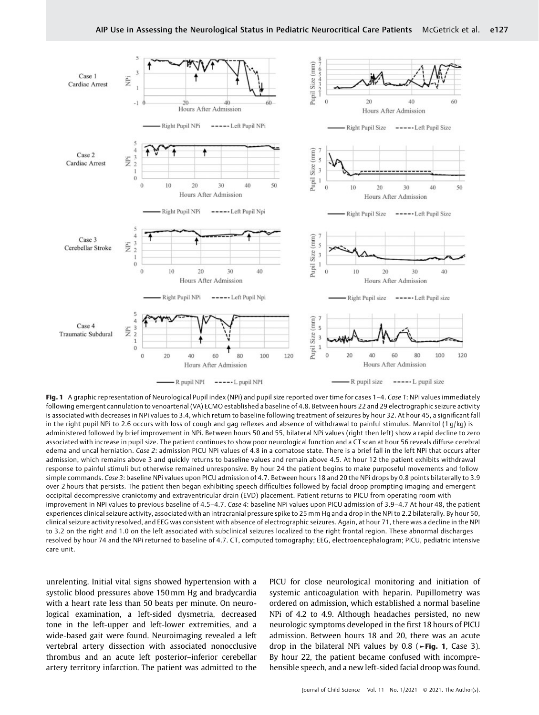

Fig. 1 A graphic representation of Neurological Pupil index (NPi) and pupil size reported over time for cases 1-4. Case 1: NPi values immediately following emergent cannulation to venoarterial (VA) ECMO established a baseline of 4.8. Between hours 22 and 29 electrographic seizure activity is associated with decreases in NPi values to 3.4, which return to baseline following treatment of seizures by hour 32. At hour 45, a significant fall in the right pupil NPi to 2.6 occurs with loss of cough and gag reflexes and absence of withdrawal to painful stimulus. Mannitol (1 g/kg) is administered followed by brief improvement in NPi. Between hours 50 and 55, bilateral NPi values (right then left) show a rapid decline to zero associated with increase in pupil size. The patient continues to show poor neurological function and a CT scan at hour 56 reveals diffuse cerebral edema and uncal herniation. Case 2: admission PICU NPi values of 4.8 in a comatose state. There is a brief fall in the left NPi that occurs after admission, which remains above 3 and quickly returns to baseline values and remain above 4.5. At hour 12 the patient exhibits withdrawal response to painful stimuli but otherwise remained unresponsive. By hour 24 the patient begins to make purposeful movements and follow simple commands. Case 3: baseline NPi values upon PICU admission of 4.7. Between hours 18 and 20 the NPi drops by 0.8 points bilaterally to 3.9 over 2 hours that persists. The patient then began exhibiting speech difficulties followed by facial droop prompting imaging and emergent occipital decompressive craniotomy and extraventricular drain (EVD) placement. Patient returns to PICU from operating room with improvement in NPi values to previous baseline of 4.5–4.7. Case 4: baseline NPi values upon PICU admission of 3.9–4.7 At hour 48, the patient experiences clinical seizure activity, associated with an intracranial pressure spike to 25 mm Hg and a drop in the NPi to 2.2 bilaterally. By hour 50, clinical seizure activity resolved, and EEG was consistent with absence of electrographic seizures. Again, at hour 71, there was a decline in the NPI to 3.2 on the right and 1.0 on the left associated with subclinical seizures localized to the right frontal region. These abnormal discharges resolved by hour 74 and the NPi returned to baseline of 4.7. CT, computed tomography; EEG, electroencephalogram; PICU, pediatric intensive care unit.

unrelenting. Initial vital signs showed hypertension with a systolic blood pressures above 150 mm Hg and bradycardia with a heart rate less than 50 beats per minute. On neurological examination, a left-sided dysmetria, decreased tone in the left-upper and left-lower extremities, and a wide-based gait were found. Neuroimaging revealed a left vertebral artery dissection with associated nonocclusive thrombus and an acute left posterior–inferior cerebellar artery territory infarction. The patient was admitted to the PICU for close neurological monitoring and initiation of systemic anticoagulation with heparin. Pupillometry was ordered on admission, which established a normal baseline NPi of 4.2 to 4.9. Although headaches persisted, no new neurologic symptoms developed in the first 18 hours of PICU admission. Between hours 18 and 20, there was an acute drop in the bilateral NPi values by 0.8 ( $\blacktriangleright$  Fig. 1, Case 3). By hour 22, the patient became confused with incomprehensible speech, and a new left-sided facial droop was found.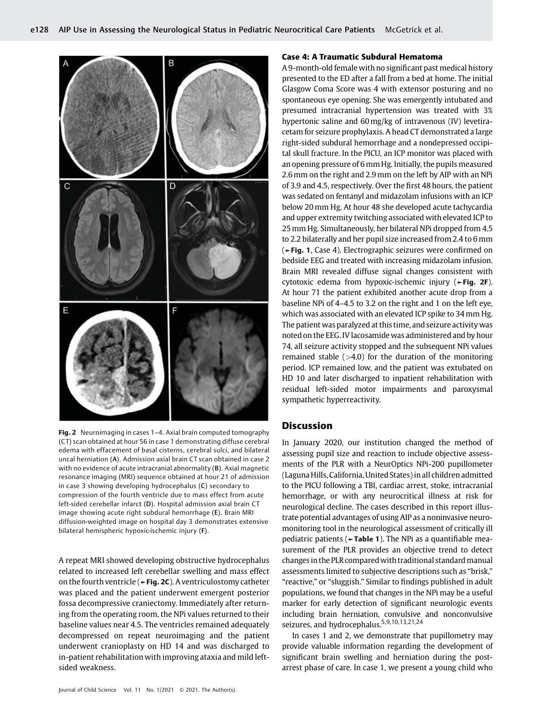

Fig. 2 Neuroimaging in cases 1–4. Axial brain computed tomography (CT) scan obtained at hour 56 in case 1 demonstrating diffuse cerebral edema with effacement of basal cisterns, cerebral sulci, and bilateral uncal herniation (A). Admission axial brain CT scan obtained in case 2 with no evidence of acute intracranial abnormality (B). Axial magnetic resonance imaging (MRI) sequence obtained at hour 21 of admission in case 3 showing developing hydrocephalus (C) secondary to compression of the fourth ventricle due to mass effect from acute left-sided cerebellar infarct (D). Hospital admission axial brain CT image showing acute right subdural hemorrhage (E). Brain MRI diffusion-weighted image on hospital day 3 demonstrates extensive bilateral hemispheric hypoxic-ischemic injury (F).

A repeat MRI showed developing obstructive hydrocephalus related to increased left cerebellar swelling and mass effect on the fourth ventricle (►Fig. 2C). A ventriculostomy catheter was placed and the patient underwent emergent posterior fossa decompressive craniectomy. Immediately after returning from the operating room, the NPi values returned to their baseline values near 4.5. The ventricles remained adequately decompressed on repeat neuroimaging and the patient underwent cranioplasty on HD 14 and was discharged to in-patient rehabilitation with improving ataxia and mild leftsided weakness.

# Case 4: A Traumatic Subdural Hematoma

A 9-month-old female with no significant past medical history presented to the ED after a fall from a bed at home. The initial Glasgow Coma Score was 4 with extensor posturing and no spontaneous eye opening. She was emergently intubated and presumed intracranial hypertension was treated with 3% hypertonic saline and 60mg/kg of intravenous (IV) levetiracetam for seizure prophylaxis. A head CT demonstrated a large right-sided subdural hemorrhage and a nondepressed occipital skull fracture. In the PICU, an ICP monitor was placed with an opening pressure of 6 mm Hg. Initially, the pupils measured 2.6 mm on the right and 2.9 mm on the left by AIP with an NPi of 3.9 and 4.5, respectively. Over the first 48 hours, the patient was sedated on fentanyl and midazolam infusions with an ICP below 20mm Hg. At hour 48 she developed acute tachycardia and upper extremity twitching associated with elevated ICP to 25mm Hg. Simultaneously, her bilateral NPi dropped from 4.5 to 2.2 bilaterally and her pupil size increased from 2.4 to 6 mm (►Fig. 1, Case 4). Electrographic seizures were confirmed on bedside EEG and treated with increasing midazolam infusion. Brain MRI revealed diffuse signal changes consistent with cytotoxic edema from hypoxic-ischemic injury (►Fig. 2F). At hour 71 the patient exhibited another acute drop from a baseline NPi of 4–4.5 to 3.2 on the right and 1 on the left eye, which was associated with an elevated ICP spike to 34 mm Hg. The patient was paralyzed at this time, and seizure activity was noted on the EEG. IV lacosamide was administered and by hour 74, all seizure activity stopped and the subsequent NPi values remained stable  $(>4.0)$  for the duration of the monitoring period. ICP remained low, and the patient was extubated on HD 10 and later discharged to inpatient rehabilitation with residual left-sided motor impairments and paroxysmal sympathetic hyperreactivity.

# **Discussion**

In January 2020, our institution changed the method of assessing pupil size and reaction to include objective assessments of the PLR with a NeurOptics NPi-200 pupillometer (Laguna Hills, California, United States) in all children admitted to the PICU following a TBI, cardiac arrest, stoke, intracranial hemorrhage, or with any neurocritical illness at risk for neurological decline. The cases described in this report illustrate potential advantages of using AIP as a noninvasive neuromonitoring tool in the neurological assessment of critically ill pediatric patients ( $\blacktriangleright$ Table 1). The NPi as a quantifiable measurement of the PLR provides an objective trend to detect changes in the PLR compared with traditional standard manual assessments limited to subjective descriptions such as "brisk," "reactive," or "sluggish." Similar to findings published in adult populations, we found that changes in the NPi may be a useful marker for early detection of significant neurologic events including brain herniation, convulsive and nonconvulsive seizures, and hydrocephalus.<sup>5,9,10,13,21,24</sup>

In cases 1 and 2, we demonstrate that pupillometry may provide valuable information regarding the development of significant brain swelling and herniation during the postarrest phase of care. In case 1, we present a young child who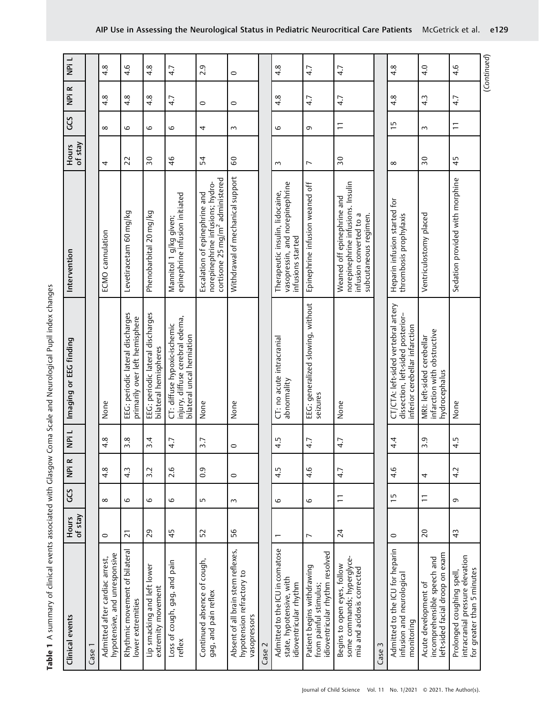| Clinical events                                                                           | of stay<br><b>Hours</b> | CCS            | NPi R            | NPi L    | Imaging or EEG finding                                                                                     | Intervention                                                                                                        | of stay<br><b>Hours</b> | CCS            | NPi R            | NPi L            |
|-------------------------------------------------------------------------------------------|-------------------------|----------------|------------------|----------|------------------------------------------------------------------------------------------------------------|---------------------------------------------------------------------------------------------------------------------|-------------------------|----------------|------------------|------------------|
| Case 1                                                                                    |                         |                |                  |          |                                                                                                            |                                                                                                                     |                         |                |                  |                  |
| hypotensive, and unresponsive<br>Admitted after cardiac arrest,                           | $\circ$                 | $\infty$       | $4.\overline{8}$ | 4.8      | None                                                                                                       | ECMO cannulation                                                                                                    | 4                       | $\infty$       | 4.8              | 4.8              |
| Rhythmic movement of bilateral<br>lower extremities                                       | $\overline{21}$         | 6              | $4.\overline{3}$ | 3.8      | EEG: periodic lateral discharges<br>primarily over left hemisphere                                         | Levetiracetam 60 mg/kg                                                                                              | 22                      | 6              | 4.8              | 4.6              |
| Lip smacking and left lower<br>extremity movement                                         | 29                      | 6              | 3.2              | 3.4      | EEG: periodic lateral discharges<br>bilateral hemispheres                                                  | Phenobarbital 20 mg/kg                                                                                              | $\overline{50}$         | 6              | 4.8              | 4.8              |
| Loss of cough, gag, and pain<br>reflex                                                    | 45                      | 6              | 2.6              | 4.7      | injury, diffuse cerebral edema,<br>CT: diffuse hypoxic-ischemic<br>bilateral uncal herniation              | epinephrine infusion initiated<br>Mannitol 1 g/kg given;                                                            | 46                      | 6              | 4.7              | 4.7              |
| Continued absence of cough,<br>gag, and pain reflex                                       | 52                      | LO             | 0.9              | 3.7      | None                                                                                                       | cortisone 25 mg/m <sup>2</sup> administered<br>norepinephrine infusions; hydro-<br>Escalation of epinephrine and    | 54                      | 4              | $\circ$          | 2.9              |
| Absent of all brain stem reflexes,<br>hypotension refractory to<br>vasopressors           | 56                      | $\sim$         | $\circ$          | $\circ$  | None                                                                                                       | Withdrawal of mechanical support                                                                                    | 60                      | $\sim$         | $\circ$          | $\circ$          |
| Case 2                                                                                    |                         |                |                  |          |                                                                                                            |                                                                                                                     |                         |                |                  |                  |
| Admitted to the ICU in comatose<br>state, hypotensive, with<br>idioventricular rhythm     | ٣                       | 6              | 4.5              | 4.5      | CT: no acute intracranial<br>abnormality                                                                   | vasopressin, and norepinephrine<br>Therapeutic insulin, lidocaine,<br>infusions started                             | $\sim$                  | 6              | 4.8              | $4.\overline{8}$ |
| idioventricular rhythm resolved<br>Patient begins withdrawing<br>from painful stimulus;   | $\overline{ }$          | 6              | 4.6              | 4.7      | EEG: generalized slowing, without<br>seizures                                                              | Epinephrine infusion weaned off                                                                                     | $\overline{ }$          | G              | 4.7              | 4.7              |
| some commands; hyperglyce-<br>Begins to open eyes, follow<br>mia and acidosis corrected   | 24                      | Ξ              | 4.7              | 4.7      | None                                                                                                       | norepinephrine infusions. Insulin<br>Weaned off epinephrine and<br>subcutaneous regimen.<br>infusion converted to a | $\overline{50}$         | Ξ              | 4.7              | 4.7              |
| Case 3                                                                                    |                         |                |                  |          |                                                                                                            |                                                                                                                     |                         |                |                  |                  |
| Admitted to the ICU for heparin<br>infusion and neurological<br>monitoring                | $\circ$                 | ij             | 4.6              | $4\cdot$ | CT/CTA: left-sided vertebral artery<br>dissection, left-sided posterior-<br>inferior cerebellar infarction | Heparin infusion started for<br>thrombosis prophylaxis                                                              | $\infty$                | $\overline{1}$ | $4.\overline{8}$ | $4.\overline{8}$ |
| left-sided facial droop on exam<br>incomprehensible speech and<br>Acute development of    | $\overline{c}$          | $\overline{a}$ | 4                | 3.9      | infarction with obstructive<br>MRI: left-sided cerebellar<br>hydrocephalus                                 | Ventriculostomy placed                                                                                              | 50                      | $\sim$         | $4.\overline{3}$ | 4.0              |
| intracranial pressure elevation<br>for greater than 5 minutes<br>Prolonged coughing spell | 43                      | G              | 4.2              | 4.5      | None                                                                                                       | Sedation provided with morphine                                                                                     | 45                      | $\overline{1}$ | 4.7              | 4.6              |
|                                                                                           |                         |                |                  |          |                                                                                                            |                                                                                                                     |                         |                |                  | (Continued)      |

AIP Use in Assessing the Neurological Status in Pediatric Neurocritical Care Patients McGetrick et al. e129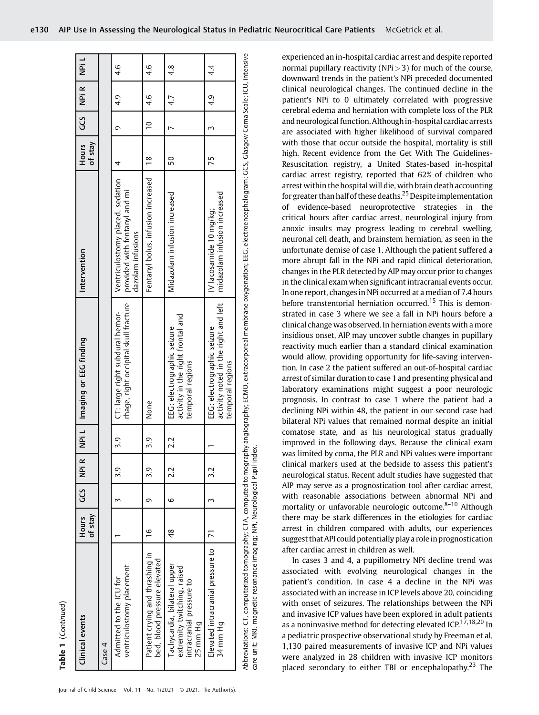| Clinical events                                                                                     | of stay<br>Hours | უ<br>ს | NPi R | 」<br>이 | Imaging or EEG finding                                                                                                                                                                          | Intervention                                                                           | of stay<br><b>Hours</b> | ე<br>ს    | NPi R | l idiv        |
|-----------------------------------------------------------------------------------------------------|------------------|--------|-------|--------|-------------------------------------------------------------------------------------------------------------------------------------------------------------------------------------------------|----------------------------------------------------------------------------------------|-------------------------|-----------|-------|---------------|
| Case 4                                                                                              |                  |        |       |        |                                                                                                                                                                                                 |                                                                                        |                         |           |       |               |
| ventriculostomy placement<br>Admitted to the ICU for                                                |                  | 3      | 3.9   | 3.9    | rhage, right occipital skull fracture<br>CT: large right subdural hemor-                                                                                                                        | Ventriculostomy placed, sedation<br>provided with fentanyl and mi<br>dazolam infusions | 4                       | G         | d.j   | 4.6           |
| Patient crying and thrashing in<br>bed, blood pressure elevated                                     | $\frac{6}{1}$    | G      | 3.9   | 3.9    | None                                                                                                                                                                                            | Fentanyl bolus, infusion increased                                                     | $\frac{8}{1}$           | $\approx$ | 4.6   | 4.6           |
| Tachycardia, bilateral upper<br>extremity twitching, raised<br>intracranial pressure to<br>25 mm Hg | 48               | 6      | 22    | 2.2    | activity in the right frontal and<br>EEG: electrographic seizure<br>temporal regions                                                                                                            | Midazolam infusion increased                                                           | 50                      |           | 4.7   | $\frac{4}{8}$ |
| Elevated intracranial pressure to<br>34 mm Hg                                                       |                  | Σ      | 3.2   |        | activity noted in the right and left<br>EEG: electrographic seizure<br>temporal regions                                                                                                         | midazolam infusion increased<br>IV lacosamide 10 mq/kq;                                | 75                      |           | d.p   | 4.            |
| care unit; MRI, magnetic resonance imaging; NPi, Neurological Pupil index.                          |                  |        |       |        | Abbreviations: CT, computerized tomography; CTA, computed tomography angiography; ECMO, extracorporeal membrane oxygenation; EEG, electroencephalogram; GCS, Glasgow Coma Scale; ICU, intensive |                                                                                        |                         |           |       |               |

clinical neurological changes. The continued decline in the patient's NPi to 0 ultimately correlated with progressive cerebral edema and herniation with complete loss of the PLR and neurological function. Althoughin-hospital cardiac arrests are associated with higher likelihood of survival compared with those that occur outside the hospital, mortality is still high. Recent evidence from the Get With The Guidelines-Resuscitation registry, a United States-based in-hospital cardiac arrest registry, reported that 62% of children who arrest within the hospital will die, with brain death accounting for greater than half of these deaths.<sup>25</sup> Despite implementation of evidence-based neuroprotective strategies in the critical hours after cardiac arrest, neurological injury from anoxic insults may progress leading to cerebral swelling, neuronal cell death, and brainstem herniation, as seen in the unfortunate demise of case 1. Although the patient suffered a more abrupt fall in the NPi and rapid clinical deterioration, changes in the PLR detected by AIP may occur prior to changes in the clinical exam when significant intracranial events occur. In one report, changes in NPi occurred at a median of 7.4 hours before transtentorial herniation occurred.<sup>15</sup> This is demonstrated in case 3 where we see a fall in NPi hours before a clinical change was observed. In herniation events with a more insidious onset, AIP may uncover subtle changes in pupillary reactivity much earlier than a standard clinical examination would allow, providing opportunity for life-saving intervention. In case 2 the patient suffered an out-of-hospital cardiac arrest of similar duration to case 1 and presenting physical and laboratory examinations might suggest a poor neurologic prognosis. In contrast to case 1 where the patient had a declining NPi within 48, the patient in our second case had bilateral NPi values that remained normal despite an initial comatose state, and as his neurological status gradually improved in the following days. Because the clinical exam was limited by coma, the PLR and NPi values were important clinical markers used at the bedside to assess this patient's neurological status. Recent adult studies have suggested that AIP may serve as a prognostication tool after cardiac arrest, with reasonable associations between abnormal NPi and mortality or unfavorable neurologic outcome. $8-10$  Although there may be stark differences in the etiologies for cardiac arrest in children compared with adults, our experiences suggest that API could potentially play a role in prognostication after cardiac arrest in children as well. In cases 3 and 4, a pupillometry NPi decline trend was associated with evolving neurological changes in the

experienced an in-hospital cardiac arrest and despite reported normal pupillary reactivity (NPi $>$ 3) for much of the course, downward trends in the patient's NPi preceded documented

patient's condition. In case 4 a decline in the NPi was associated with an increase in ICP levels above 20, coinciding with onset of seizures. The relationships between the NPi and invasive ICP values have been explored in adult patients as a noninvasive method for detecting elevated ICP.<sup>17,18,20</sup> In a pediatric prospective observational study by Freeman et al, 1,130 paired measurements of invasive ICP and NPi values were analyzed in 28 children with invasive ICP monitors placed secondary to either TBI or encephalopathy.<sup>23</sup> The

Table 1

(Continued)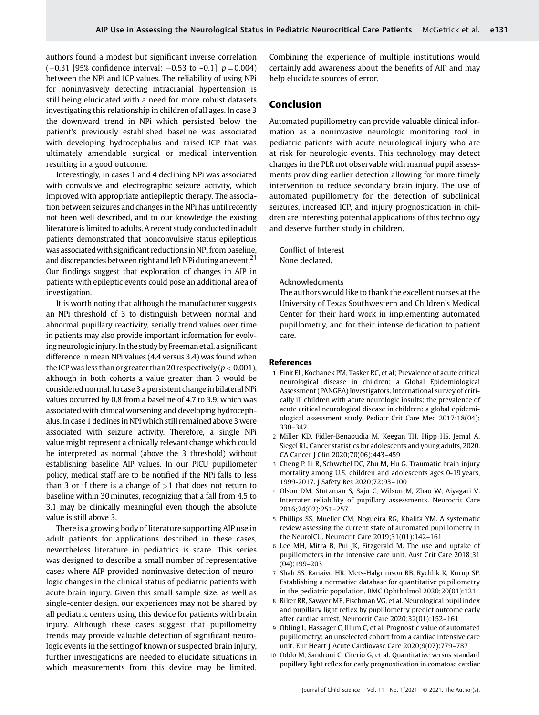authors found a modest but significant inverse correlation  $(-0.31$  [95% confidence interval:  $-0.53$  to  $-0.1$ ],  $p = 0.004$ ) between the NPi and ICP values. The reliability of using NPi for noninvasively detecting intracranial hypertension is still being elucidated with a need for more robust datasets investigating this relationship in children of all ages. In case 3 the downward trend in NPi which persisted below the patient's previously established baseline was associated with developing hydrocephalus and raised ICP that was ultimately amendable surgical or medical intervention resulting in a good outcome.

Interestingly, in cases 1 and 4 declining NPi was associated with convulsive and electrographic seizure activity, which improved with appropriate antiepileptic therapy. The association between seizures and changes in the NPi has until recently not been well described, and to our knowledge the existing literature is limited to adults. A recent study conducted in adult patients demonstrated that nonconvulsive status epilepticus was associatedwith significant reductionsin NPi from baseline, and discrepancies between right and left NPi during an event.<sup>21</sup> Our findings suggest that exploration of changes in AIP in patients with epileptic events could pose an additional area of investigation.

It is worth noting that although the manufacturer suggests an NPi threshold of 3 to distinguish between normal and abnormal pupillary reactivity, serially trend values over time in patients may also provide important information for evolving neurologic injury. In the study by Freeman et al, a significant difference in mean NPi values (4.4 versus 3.4) was found when the ICP was less than or greater than 20 respectively  $(p < 0.001)$ , although in both cohorts a value greater than 3 would be considered normal. In case 3 a persistent change in bilateral NPi values occurred by 0.8 from a baseline of 4.7 to 3.9, which was associated with clinical worsening and developing hydrocephalus. In case 1 declines in NPi which still remained above 3 were associated with seizure activity. Therefore, a single NPi value might represent a clinically relevant change which could be interpreted as normal (above the 3 threshold) without establishing baseline AIP values. In our PICU pupillometer policy, medical staff are to be notified if the NPi falls to less than 3 or if there is a change of  $>1$  that does not return to baseline within 30minutes, recognizing that a fall from 4.5 to 3.1 may be clinically meaningful even though the absolute value is still above 3.

There is a growing body of literature supporting AIP use in adult patients for applications described in these cases, nevertheless literature in pediatrics is scare. This series was designed to describe a small number of representative cases where AIP provided noninvasive detection of neurologic changes in the clinical status of pediatric patients with acute brain injury. Given this small sample size, as well as single-center design, our experiences may not be shared by all pediatric centers using this device for patients with brain injury. Although these cases suggest that pupillometry trends may provide valuable detection of significant neurologic events in the setting of known or suspected brain injury, further investigations are needed to elucidate situations in which measurements from this device may be limited.

Combining the experience of multiple institutions would certainly add awareness about the benefits of AIP and may help elucidate sources of error.

# Conclusion

Automated pupillometry can provide valuable clinical information as a noninvasive neurologic monitoring tool in pediatric patients with acute neurological injury who are at risk for neurologic events. This technology may detect changes in the PLR not observable with manual pupil assessments providing earlier detection allowing for more timely intervention to reduce secondary brain injury. The use of automated pupillometry for the detection of subclinical seizures, increased ICP, and injury prognostication in children are interesting potential applications of this technology and deserve further study in children.

Conflict of Interest None declared.

# Acknowledgments

The authors would like to thank the excellent nurses at the University of Texas Southwestern and Children's Medical Center for their hard work in implementing automated pupillometry, and for their intense dedication to patient care.

#### References

- 1 Fink EL, Kochanek PM, Tasker RC, et al; Prevalence of acute critical neurological disease in children: a Global Epidemiological Assessment (PANGEA) Investigators. International survey of critically ill children with acute neurologic insults: the prevalence of acute critical neurological disease in children: a global epidemiological assessment study. Pediatr Crit Care Med 2017;18(04): 330–342
- 2 Miller KD, Fidler-Benaoudia M, Keegan TH, Hipp HS, Jemal A, Siegel RL. Cancer statistics for adolescents and young adults, 2020. CA Cancer J Clin 2020;70(06):443–459
- 3 Cheng P, Li R, Schwebel DC, Zhu M, Hu G. Traumatic brain injury mortality among U.S. children and adolescents ages 0-19 years, 1999-2017. J Safety Res 2020;72:93–100
- 4 Olson DM, Stutzman S, Saju C, Wilson M, Zhao W, Aiyagari V. Interrater reliability of pupillary assessments. Neurocrit Care 2016;24(02):251–257
- 5 Phillips SS, Mueller CM, Nogueira RG, Khalifa YM. A systematic review assessing the current state of automated pupillometry in the NeuroICU. Neurocrit Care 2019;31(01):142–161
- 6 Lee MH, Mitra B, Pui JK, Fitzgerald M. The use and uptake of pupillometers in the intensive care unit. Aust Crit Care 2018;31 (04):199–203
- 7 Shah SS, Ranaivo HR, Mets-Halgrimson RB, Rychlik K, Kurup SP. Establishing a normative database for quantitative pupillometry in the pediatric population. BMC Ophthalmol 2020;20(01):121
- 8 Riker RR, Sawyer ME, Fischman VG, et al. Neurological pupil index and pupillary light reflex by pupillometry predict outcome early after cardiac arrest. Neurocrit Care 2020;32(01):152–161
- 9 Obling L, Hassager C, Illum C, et al. Prognostic value of automated pupillometry: an unselected cohort from a cardiac intensive care unit. Eur Heart J Acute Cardiovasc Care 2020;9(07):779–787
- 10 Oddo M, Sandroni C, Citerio G, et al. Quantitative versus standard pupillary light reflex for early prognostication in comatose cardiac